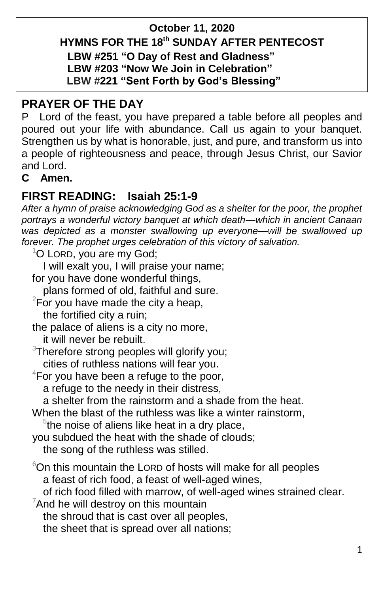#### **October 11, 2020 HYMNS FOR THE 18 th SUNDAY AFTER PENTECOST LBW #251 "O Day of Rest and Gladness" LBW #203 "Now We Join in Celebration" LBW #221 "Sent Forth by God's Blessing"**

## **PRAYER OF THE DAY**

P Lord of the feast, you have prepared a table before all peoples and poured out your life with abundance. Call us again to your banquet. Strengthen us by what is honorable, just, and pure, and transform us into a people of righteousness and peace, through Jesus Christ, our Savior and Lord.

**C Amen.**

## **FIRST READING: Isaiah 25:1-9**

*After a hymn of praise acknowledging God as a shelter for the poor, the prophet portrays a wonderful victory banquet at which death—which in ancient Canaan was depicted as a monster swallowing up everyone—will be swallowed up forever. The prophet urges celebration of this victory of salvation.*

 $1$ O LORD, you are my God;

I will exalt you, I will praise your name;

for you have done wonderful things,

plans formed of old, faithful and sure.

 $2^2$ For you have made the city a heap,

the fortified city a ruin;

the palace of aliens is a city no more,

it will never be rebuilt.

 $3$ Therefore strong peoples will glorify you; cities of ruthless nations will fear you.

 $4$ For you have been a refuge to the poor,

a refuge to the needy in their distress,

a shelter from the rainstorm and a shade from the heat.

When the blast of the ruthless was like a winter rainstorm,

 $5$ the noise of aliens like heat in a dry place,

you subdued the heat with the shade of clouds; the song of the ruthless was stilled.

 $6$ On this mountain the LORD of hosts will make for all peoples a feast of rich food, a feast of well-aged wines,

of rich food filled with marrow, of well-aged wines strained clear.

 $7$ And he will destroy on this mountain

the shroud that is cast over all peoples,

the sheet that is spread over all nations;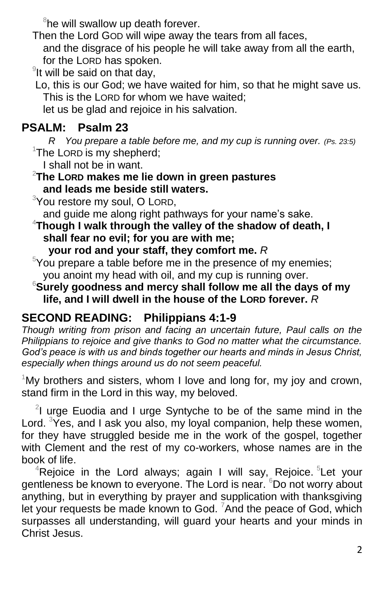$8$ he will swallow up death forever.

Then the Lord GOD will wipe away the tears from all faces, and the disgrace of his people he will take away from all the earth, for the LORD has spoken.

 $9$ It will be said on that day,

Lo, this is our God; we have waited for him, so that he might save us. This is the LORD for whom we have waited;

let us be glad and rejoice in his salvation.

# **PSALM: Psalm 23**

 *R You prepare a table before me, and my cup is running over. (Ps. 23:5)*  $1$ The LORD is my shepherd;

I shall not be in want.

#### <sup>2</sup>**The LORD makes me lie down in green pastures and leads me beside still waters.**

<sup>3</sup>You restore my soul, O LORD,

and guide me along right pathways for your name's sake.

<sup>4</sup>**Though I walk through the valley of the shadow of death, I shall fear no evil; for you are with me;** 

 **your rod and your staff, they comfort me.** *R*

 $5$ You prepare a table before me in the presence of my enemies; you anoint my head with oil, and my cup is running over.

<sup>6</sup>**Surely goodness and mercy shall follow me all the days of my life, and I will dwell in the house of the LORD forever.** *R*

# **SECOND READING: Philippians 4:1-9**

*Though writing from prison and facing an uncertain future, Paul calls on the Philippians to rejoice and give thanks to God no matter what the circumstance. God's peace is with us and binds together our hearts and minds in Jesus Christ, especially when things around us do not seem peaceful.*

 $1$ My brothers and sisters, whom I love and long for, my joy and crown, stand firm in the Lord in this way, my beloved.

 $2$ I urge Euodia and I urge Syntyche to be of the same mind in the Lord. <sup>3</sup>Yes, and I ask you also, my loyal companion, help these women, for they have struggled beside me in the work of the gospel, together with Clement and the rest of my co-workers, whose names are in the book of life.

 ${}^{4}$ Rejoice in the Lord always; again I will say, Rejoice.  ${}^{5}$ Let your gentleness be known to everyone. The Lord is near. <sup>6</sup>Do not worry about anything, but in everything by prayer and supplication with thanksgiving let your requests be made known to God.  $7$ And the peace of God, which surpasses all understanding, will guard your hearts and your minds in Christ Jesus.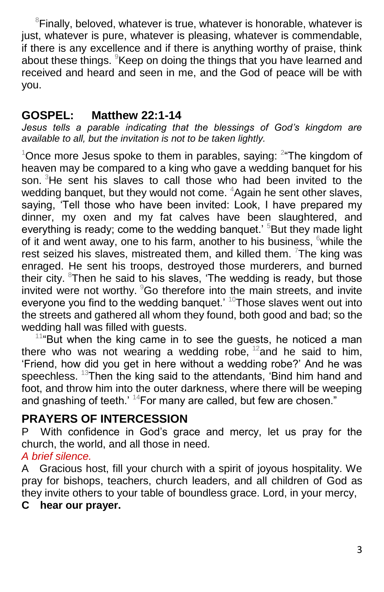${}^8$ Finally, beloved, whatever is true, whatever is honorable, whatever is just, whatever is pure, whatever is pleasing, whatever is commendable, if there is any excellence and if there is anything worthy of praise, think about these things. <sup>9</sup>Keep on doing the things that you have learned and received and heard and seen in me, and the God of peace will be with you.

## **GOSPEL: Matthew 22:1-14**

*Jesus tells a parable indicating that the blessings of God's kingdom are available to all, but the invitation is not to be taken lightly.*

 $1$ Once more Jesus spoke to them in parables, saying:  $2$  The kingdom of heaven may be compared to a king who gave a wedding banquet for his son.  $3$ He sent his slaves to call those who had been invited to the wedding banquet, but they would not come.  $4$ Again he sent other slaves, saying, 'Tell those who have been invited: Look, I have prepared my dinner, my oxen and my fat calves have been slaughtered, and everything is ready; come to the wedding banquet.<sup>5</sup> But they made light of it and went away, one to his farm, another to his business,  $6$  while the rest seized his slaves, mistreated them, and killed them. <sup>7</sup>The king was enraged. He sent his troops, destroyed those murderers, and burned their city.  $8$ Then he said to his slaves, 'The wedding is ready, but those invited were not worthy. <sup>9</sup>Go therefore into the main streets, and invite everyone you find to the wedding banquet.<sup>' 10</sup>Those slaves went out into the streets and gathered all whom they found, both good and bad; so the wedding hall was filled with guests.

 $114$ <sup>But</sup> when the king came in to see the guests, he noticed a man there who was not wearing a wedding robe,  $12$  and he said to him, 'Friend, how did you get in here without a wedding robe?' And he was speechless. <sup>13</sup>Then the king said to the attendants, 'Bind him hand and foot, and throw him into the outer darkness, where there will be weeping and gnashing of teeth.'  $14$  For many are called, but few are chosen."

## **PRAYERS OF INTERCESSION**

P With confidence in God's grace and mercy, let us pray for the church, the world, and all those in need.

## *A brief silence.*

A Gracious host, fill your church with a spirit of joyous hospitality. We pray for bishops, teachers, church leaders, and all children of God as they invite others to your table of boundless grace. Lord, in your mercy,

#### **C hear our prayer.**